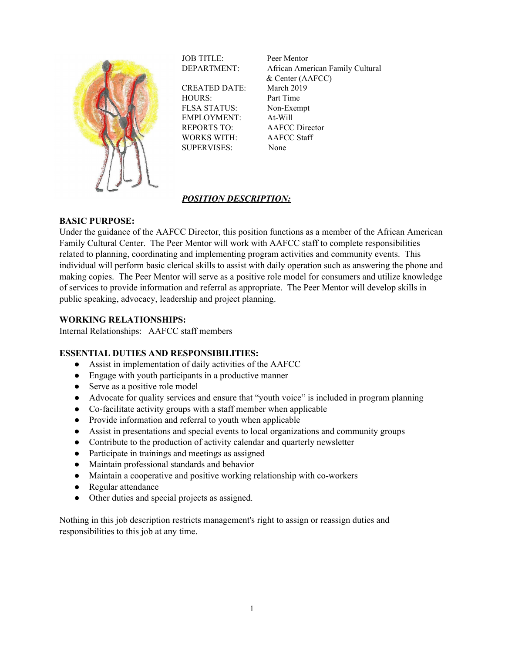

JOB TITLE: Peer Mentor

CREATED DATE: March 2019 HOURS: Part Time FLSA STATUS: Non-Exempt EMPLOYMENT: At-Will REPORTS TO: AAFCC Director WORKS WITH: AAFCC Staff SUPERVISES: None

DEPARTMENT: African American Family Cultural & Center (AAFCC)

# *POSITION DESCRIPTION:*

### **BASIC PURPOSE:**

Under the guidance of the AAFCC Director, this position functions as a member of the African American Family Cultural Center. The Peer Mentor will work with AAFCC staff to complete responsibilities related to planning, coordinating and implementing program activities and community events. This individual will perform basic clerical skills to assist with daily operation such as answering the phone and making copies. The Peer Mentor will serve as a positive role model for consumers and utilize knowledge of services to provide information and referral as appropriate. The Peer Mentor will develop skills in public speaking, advocacy, leadership and project planning.

### **WORKING RELATIONSHIPS:**

Internal Relationships: AAFCC staff members

#### **ESSENTIAL DUTIES AND RESPONSIBILITIES:**

- Assist in implementation of daily activities of the AAFCC
- Engage with youth participants in a productive manner
- Serve as a positive role model
- Advocate for quality services and ensure that "youth voice" is included in program planning
- Co-facilitate activity groups with a staff member when applicable
- Provide information and referral to youth when applicable
- Assist in presentations and special events to local organizations and community groups
- Contribute to the production of activity calendar and quarterly newsletter
- Participate in trainings and meetings as assigned
- Maintain professional standards and behavior
- Maintain a cooperative and positive working relationship with co-workers
- Regular attendance
- Other duties and special projects as assigned.

Nothing in this job description restricts management's right to assign or reassign duties and responsibilities to this job at any time.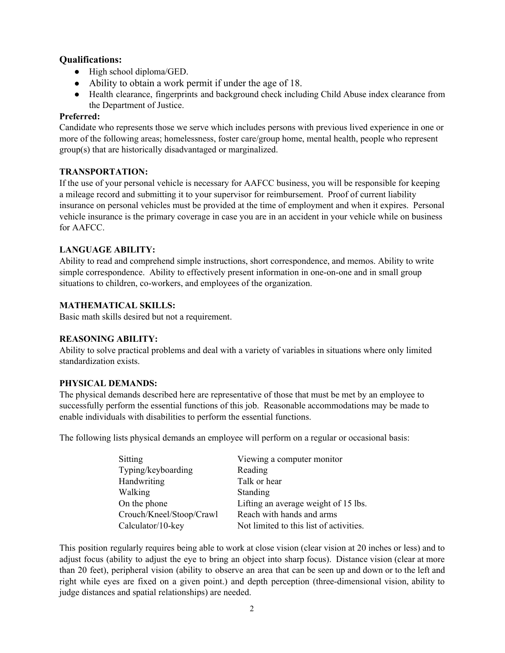# **Qualifications:**

- High school diploma/GED.
- Ability to obtain a work permit if under the age of 18.
- Health clearance, fingerprints and background check including Child Abuse index clearance from the Department of Justice.

### **Preferred:**

Candidate who represents those we serve which includes persons with previous lived experience in one or more of the following areas; homelessness, foster care/group home, mental health, people who represent group(s) that are historically disadvantaged or marginalized.

### **TRANSPORTATION:**

If the use of your personal vehicle is necessary for AAFCC business, you will be responsible for keeping a mileage record and submitting it to your supervisor for reimbursement. Proof of current liability insurance on personal vehicles must be provided at the time of employment and when it expires. Personal vehicle insurance is the primary coverage in case you are in an accident in your vehicle while on business for AAFCC.

### **LANGUAGE ABILITY:**

Ability to read and comprehend simple instructions, short correspondence, and memos. Ability to write simple correspondence. Ability to effectively present information in one-on-one and in small group situations to children, co-workers, and employees of the organization.

### **MATHEMATICAL SKILLS:**

Basic math skills desired but not a requirement.

### **REASONING ABILITY:**

Ability to solve practical problems and deal with a variety of variables in situations where only limited standardization exists.

### **PHYSICAL DEMANDS:**

The physical demands described here are representative of those that must be met by an employee to successfully perform the essential functions of this job. Reasonable accommodations may be made to enable individuals with disabilities to perform the essential functions.

The following lists physical demands an employee will perform on a regular or occasional basis:

| Viewing a computer monitor              |
|-----------------------------------------|
| Reading                                 |
| Talk or hear                            |
| Standing                                |
| Lifting an average weight of 15 lbs.    |
| Reach with hands and arms               |
| Not limited to this list of activities. |
|                                         |

This position regularly requires being able to work at close vision (clear vision at 20 inches or less) and to adjust focus (ability to adjust the eye to bring an object into sharp focus). Distance vision (clear at more than 20 feet), peripheral vision (ability to observe an area that can be seen up and down or to the left and right while eyes are fixed on a given point.) and depth perception (three-dimensional vision, ability to judge distances and spatial relationships) are needed.